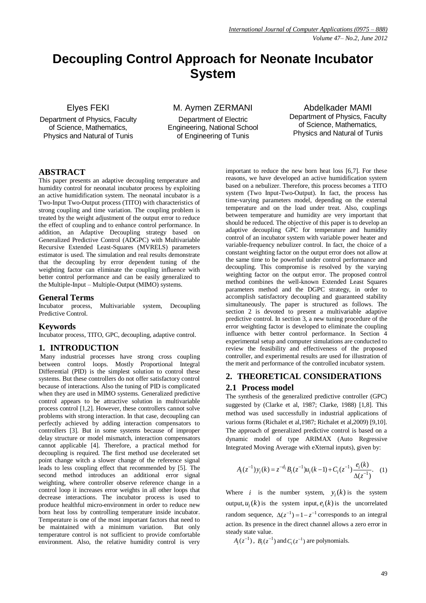# **Decoupling Control Approach for Neonate Incubator System**

# Elyes FEKI

Department of Physics, Faculty of Science, Mathematics, Physics and Natural of Tunis

M. Aymen ZERMANI

Department of Electric Engineering, National School of Engineering of Tunis

Abdelkader MAMI Department of Physics, Faculty of Science, Mathematics, Physics and Natural of Tunis

# **ABSTRACT**

This paper presents an adaptive decoupling temperature and humidity control for neonatal incubator process by exploiting an active humidification system. The neonatal incubator is a Two-Input Two-Output process (TITO) with characteristics of strong coupling and time variation. The coupling problem is treated by the weight adjustment of the output error to reduce the effect of coupling and to enhance control performance. In addition, an Adaptive Decoupling strategy based on Generalized Predictive Control (ADGPC) with Multivariable Recursive Extended Least-Squares (MVRELS) parameters estimator is used. The simulation and real results demonstrate that the decoupling by error dependent tuning of the weighting factor can eliminate the coupling influence with better control performance and can be easily generalized to the Multiple-Input – Multiple-Output (MIMO) systems.

# **General Terms**

Incubator process, Multivariable system, Decoupling Predictive Control.

### **Keywords**

Incubator process, TITO, GPC, decoupling, adaptive control.

### **1. INTRODUCTION**

Many industrial processes have strong cross coupling between control loops. Mostly Proportional Integral Differential (PID) is the simplest solution to control these systems. But these controllers do not offer satisfactory control because of interactions. Also the tuning of PID is complicated when they are used in MIMO systems. Generalized predictive control appears to be attractive solution in multivariable process control [1,2]. However, these controllers cannot solve problems with strong interaction. In that case, decoupling can perfectly achieved by adding interaction compensators to controllers [3]. But in some systems because of improper delay structure or model mismatch, interaction compensators cannot applicable [4]. Therefore, a practical method for decoupling is required. The first method use decelerated set point change witch a slower change of the reference signal leads to less coupling effect that recommended by [5]. The second method introduces an additional error signal weighting, where controller observe reference change in a control loop it increases error weights in all other loops that decrease interactions. The incubator process is used to produce healthful micro-environment in order to reduce new born heat loss by controlling temperature inside incubator. Temperature is one of the most important factors that need to be maintained with a minimum variation. But only temperature control is not sufficient to provide comfortable environment. Also, the relative humidity control is very

important to reduce the new born heat loss [6,7]. For these reasons, we have developed an active humidification system based on a nebulizer. Therefore, this process becomes a TITO system (Two Input-Two-Output). In fact, the process has time-varying parameters model, depending on the external temperature and on the load under treat. Also, couplings between temperature and humidity are very important that should be reduced. The objective of this paper is to develop an adaptive decoupling GPC for temperature and humidity control of an incubator system with variable power heater and variable-frequency nebulizer control. In fact, the choice of a constant weighting factor on the output error does not allow at the same time to be powerful under control performance and decoupling. This compromise is resolved by the varying weighting factor on the output error. The proposed control method combines the well-known Extended Least Squares parameters method and the DGPC strategy, in order to accomplish satisfactory decoupling and guaranteed stability simultaneously. The paper is structured as follows. The section 2 is devoted to present a multivariable adaptive predictive control. In section 3, a new tuning procedure of the error weighting factor is developed to eliminate the coupling influence with better control performance. In Section 4 experimental setup and computer simulations are conducted to review the feasibility and effectiveness of the proposed controller, and experimental results are used for illustration of the merit and performance of the controlled incubator system.

# **2. THEORETICAL CONSIDERATIONS**

# **2.1 Process model**

The synthesis of the generalized predictive controller (GPC) suggested by (Clarke et al, 1987; Clarke, 1988) [1,8]. This method was used successfully in industrial applications of various forms (Richalet et al,1987; Richalet et al,2009) [9,10]. The approach of generalized predictive control is based on a dynamic model of type ARIMAX (Auto Regressive Integrated Moving Average with eXternal inputs), given by:

$$
A_i(z^{-1})y_i(k) = z^{-d_i}B_i(z^{-1})u_i(k-1) + C_i(z^{-1})\frac{e_i(k)}{\Delta(z^{-1})}. \quad (1)
$$

Where *i* is the number system,  $y_i(k)$  is the system output,  $u_i(k)$  is the system input,  $e_i(k)$  is the uncorrelated random sequence,  $\Delta(z^{-1}) = 1 - z^{-1}$  corresponds to an integral action. Its presence in the direct channel allows a zero error in steady state value.

 $A_i(z^{-1})$ ,  $B_i(z^{-1})$  and  $C_i(z^{-1})$  are polynomials.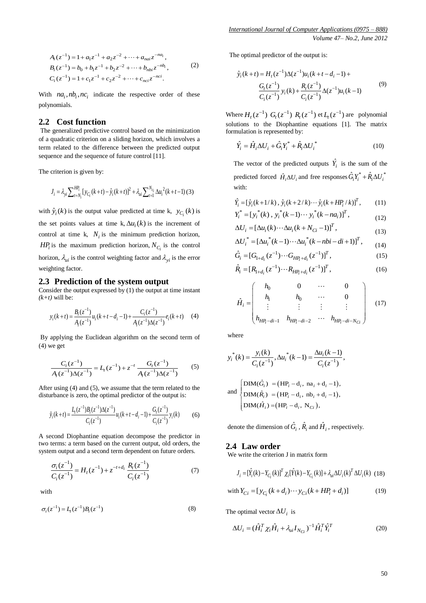$$
A_i(z^{-1}) = 1 + a_1 z^{-1} + a_2 z^{-2} + \dots + a_{nai} z^{-n a_i},
$$
  
\n
$$
B_i(z^{-1}) = b_0 + b_1 z^{-1} + b_2 z^{-2} + \dots + b_{nbi} z^{-n b_i},
$$
  
\n
$$
C_i(z^{-1}) = 1 + c_1 z^{-1} + c_2 z^{-2} + \dots + c_{nci} z^{-nci}.
$$
  
\n(2)

With  $na_i$ ,  $nb_i$ ,  $nc_i$  indicate the respective order of these polynomials.

# **2.2 Cost function**

The generalized predictive control based on the minimization of a quadratic criterion on a sliding horizon, which involves a term related to the difference between the predicted output sequence and the sequence of future control [11].

The criterion is given by:

$$
J_i = \lambda_{yi} \sum_{t=N_i}^{HR_i} [y_{C_i}(k+t) - \hat{y}_i(k+t)]^2 + \lambda_{ui} \sum_{t=1}^{N_{C_i}} \Delta u_i^2(k+t-1)
$$
(3)

with  $\hat{y}_i(k)$  is the output value predicted at time k,  $y_{C_i}(k)$  is the set points values at time k,  $\Delta u_i(k)$  is the increment of control at time k,  $N_i$  is the minimum prediction horizon, *HP*<sup>*i*</sup> is the maximum prediction horizon,  $N_{C_i}$  is the control horizon,  $\lambda_{ui}$  is the control weighting factor and  $\lambda_{yi}$  is the error weighting factor.

# **2.3 Prediction of the system output**

Consider the output expressed by (1) the output at time instant  $(k+t)$  will be:

$$
y_i(k+t) = \frac{B_i(z^{-1})}{A_i(z^{-1})} u_i(k+t-d_i-1) + \frac{C_i(z^{-1})}{A_i(z^{-1})\Delta(z^{-1})} e_i(k+t)
$$
 (4)

By applying the Euclidean algorithm on the second term of (4) we get

$$
\frac{C_i(z^{-1})}{A_i(z^{-1})\Delta(z^{-1})} = L_t(z^{-1}) + z^{-t} \frac{G_t(z^{-1})}{A_i(z^{-1})\Delta(z^{-1})}
$$
(5)

After using (4) and (5), we assume that the term related to the disturbance is zero, the optimal predictor of the output is:

$$
\hat{y}_i(k+t) = \frac{L_i(z^{-1})B_i(z^{-1})\Delta(z^{-1})}{C_i(z^{-1})}u_i(k+t-d_i-1) + \frac{G_i(z^{-1})}{C_i(z^{-1})}y_i(k)
$$
(6)

A second Diophantine equation decompose the predictor in two terms: a term based on the current output, old orders, the system output and a second term dependent on future orders.

$$
\frac{\sigma_i(z^{-1})}{C_i(z^{-1})} = H_t(z^{-1}) + z^{-t+d_i} \frac{R_t(z^{-1})}{C_i(z^{-1})}
$$
(7)

with

$$
\sigma_i(z^{-1}) = L_i(z^{-1})B_i(z^{-1})
$$
\n(8)

The optimal predictor of the output is:

$$
\hat{y}_i(k+t) = H_t(z^{-1})\Delta(z^{-1})u_i(k+t-d_i-1) +
$$
\n
$$
\frac{G_t(z^{-1})}{C_i(z^{-1})}y_i(k) + \frac{R_t(z^{-1})}{C_i(z^{-1})}\Delta(z^{-1})u_i(k-1)
$$
\n(9)

Where  $H_t(z^{-1})$   $G_t(z^{-1})$   $R_t(z^{-1})$  et  $L_t(z^{-1})$  are polynomial solutions to the Diophantine equations [1]. The matrix formulation is represented by:

$$
\hat{Y}_i = \hat{H}_i \Delta U_i + \hat{G}_i Y_i^* + \hat{R}_i \Delta U_i^*
$$
\n(10)

The vector of the predicted outputs  $\hat{Y}_i$  is the sum of the predicted forced  $\hat{H}_i \Delta U_i$  and free responses  $\hat{G}_i Y_i^* + \hat{R}_i \Delta U_i^*$ with:

$$
\hat{Y}_i = [\hat{y}_i(k+1/k), \hat{y}_i(k+2/k) \cdots \hat{y}_i(k+H P_i/k)]^T, \qquad (11)
$$
\n
$$
Y_i^* = [y_i^*(k), y_i^*(k-1) \cdots y_i^*(k-na_i)]^T, \qquad (12)
$$

*Y y k y k y k na i i i i i* (12)

$$
\Delta U_i = \left[\Delta u_i(k) \cdots \Delta u_i(k + N_{Ci} - 1)\right]^T, \tag{12}
$$

$$
\Delta U_i = [\Delta u_i(k) \cdots \Delta u_i(k + N_{Ci} - 1)] ,
$$
\n
$$
\Delta U_i^* = [\Delta u_i^*(k - 1) \cdots \Delta u_i^*(k - \text{nbi} - \text{di} + 1)]^T ,
$$
\n
$$
\hat{G} = [G_{i-1}(z^{-1}) \cdots G_{i-1} - (z^{-1})]^T ,
$$
\n(15)

$$
\hat{G}_i = [G_{1+d_i}(z^{-1}) \cdots G_{HP_i + d_i}(z^{-1})]^T, \tag{15}
$$
\n
$$
\hat{R} = [R_{(1+d_i)}(z^{-1}) \cdots R_{(1+d_i)}(z^{-1})]^T
$$
\n
$$
(16)
$$

$$
\hat{R}_i = [R_{1+d_i}(z^{-1}) \cdots R_{H_1^p+d_i}(z^{-1})]^T, \qquad (16)
$$

$$
\hat{H}_i = \begin{pmatrix}\nh_0 & 0 & \cdots & 0 \\
h_1 & h_0 & \cdots & 0 \\
\vdots & \vdots & \vdots & \vdots \\
h_{HP_i - di - 1} & h_{HP_i - di - 2} & \cdots & h_{HP_i - di - N_{Ci}}\n\end{pmatrix}
$$
(17)

where

$$
y_i^*(k) = \frac{y_i(k)}{C_i(z^{-1})}, \Delta u_i^*(k-1) = \frac{\Delta u_i(k-1)}{C_i(z^{-1})},
$$
  
and 
$$
\begin{cases} \text{DIM}(\hat{G}_i) = (\text{HP}_i - \text{d}_i, \text{ na}_i + \text{d}_i - 1), \\ \text{DIM}(\hat{R}_i) = (\text{HP}_i - \text{d}_i, \text{ nb}_i + \text{d}_i - 1), \\ \text{DIM}(\hat{H}_i) = (\text{HP}_i - \text{d}_i, \text{ N}_{Ci}), \end{cases}
$$

denote the dimension of  $\hat{G}_i$ ,  $\hat{R}_i$  and  $\hat{H}_i$ , respectively.

### **2.4 Law order**

We write the criterion J in matrix form

$$
J_{i} = [\hat{Y}_{i}(k) - Y_{C_{i}}(k)]^{T} \chi_{i}[\hat{Y}(k) - Y_{C_{i}}(k)] + \lambda_{ui} \Delta U_{i}(k)^{T} \Delta U_{i}(k)
$$
 (18)

with 
$$
Y_{Ci} = [y_{C_i}(k+d_i) \cdots y_{Ci}(k+HP_i+d_i)]
$$
 (19)

The optimal vector  $\Delta U_i$  is

$$
\Delta U_i = (\hat{H}_i^T \chi_i \hat{H}_i + \lambda_{ui} I_{N_{Ci}})^{-1} \hat{H}_i^T \hat{Y}_i^T
$$
\n(20)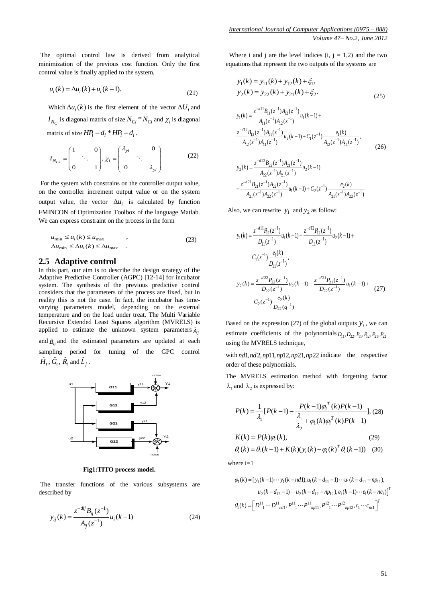The optimal control law is derived from analytical minimization of the previous cost function. Only the first control value is finally applied to the system.

$$
u_i(k) = \Delta u_i(k) + u_i(k-1).
$$
 (21)

Which  $\Delta u_i(k)$  is the first element of the vector  $\Delta U_i$  and  $I_{N_C}$  is diagonal matrix of size  $N_{Ci} * N_{Ci}$  and  $\chi_i$  is diagonal matrix of size  $HP_i - d_i * HP_i - d_i$ .

$$
I_{N_{Ci}} = \begin{pmatrix} 1 & 0 \\ 0 & 1 \end{pmatrix}, \chi_i = \begin{pmatrix} \lambda_{yi} & 0 \\ 0 & \lambda_{yi} \end{pmatrix}
$$
 (22)

For the system with constrains on the controller output value, on the controller increment output value or on the system output value, the vector  $\Delta u_i$  is calculated by function FMINCON of Optimization Toolbox of the language Matlab. We can express constraint on the process in the form

$$
u_{\min} \le u_i(k) \le u_{\max} , \qquad (23)
$$
  
\n
$$
\Delta u_{\min} \le \Delta u_i(k) \le \Delta u_{\max} .
$$

### **2.5 Adaptive control**

In this part, our aim is to describe the design strategy of the Adaptive Predictive Controller (AGPC) [12-14] for incubator system. The synthesis of the previous predictive control considers that the parameters of the process are fixed, but in reality this is not the case. In fact, the incubator has timevarying parameters model, depending on the external temperature and on the load under treat. The Multi Variable Recursive Extended Least Squares algorithm (MVRELS) is applied to estimate the unknown system parameters  $\hat{A}_{ij}$ and  $\hat{B}_{ij}$  and the estimated parameters are updated at each sampling period for tuning of the GPC control  $\hat{H}_t$  ,  $\hat{G}_t$  ,  $\hat{R}_t$  and  $\hat{L}_j$  .



**Fig1:TITO process model.**

The transfer functions of the various subsystems are described by

$$
y_{ij}(k) = \frac{z^{-dij} B_{ij}(z^{-1})}{A_{ij}(z^{-1})} u_i(k-1)
$$
 (24)

Where i and j are the level indices  $(i, j = 1,2)$  and the two equations that represent the two outputs of the systems are

$$
y_1(k) = y_{11}(k) + y_{12}(k) + \xi_1,
$$
  
\n
$$
y_2(k) = y_{22}(k) + y_{21}(k) + \xi_2.
$$
\n(25)

$$
y_1(k) = \frac{z^{-d11}B_{11}(z^{-1})A_{12}(z^{-1})}{A_{11}(z^{-1})A_{12}(z^{-1})}u_1(k-1) + \frac{z^{-d12}B_{12}(z^{-1})A_{11}(z^{-1})}{A_{12}(z^{-1})A_{11}(z^{-1})}u_2(k-1) + C_1(z^{-1})\frac{e_1(k)}{A_{12}(z^{-1})A_{11}(z^{-1})},
$$
\n(26)

$$
y_2(k) = \frac{z^{-d22}B_{22}(z^{-1})A_{21}(z^{-1})}{A_{22}(z^{-1})A_{21}(z^{-1})}u_2(k-1)
$$
  
+ 
$$
\frac{z^{-d21}B_{21}(z^{-1})A_{22}(z^{-1})}{A_{21}(z^{-1})A_{22}(z^{-1})}u_1(k-1) + C_2(z^{-1})\frac{e_2(k)}{A_{21}(z^{-1})A_{22}(z^{-1})}
$$

Also, we can rewrite  $y_1$  and  $y_2$  as follow:

$$
y_1(k) = \frac{z^{-d11}P_{11}(z^{-1})}{D_{11}(z^{-1})}u_1(k-1) + \frac{z^{-d12}P_{12}(z^{-1})}{D_{11}(z^{-1})}u_2(k-1) + C_1(z^{-1})\frac{e_1(k)}{D_{11}(z^{-1})},
$$
  
\n
$$
y_2(k) = \frac{z^{-d22}P_{22}(z^{-1})}{D_{22}(z^{-1})}u_2(k-1) + \frac{z^{-d21}P_{21}(z^{-1})}{D_{22}(z^{-1})}u_1(k-1) + C_2(z^{-1})\frac{e_2(k)}{D_{22}(q^{-1})}
$$
 (27)

Based on the expression (27) of the global outputs  $y_i$ , we can estimate coefficients of the polynomials  $D_{11}$ ,  $D_{22}$ ,  $P_{11}$ ,  $P_{12}$ ,  $P_{21}$ ,  $P_{22}$ using the MVRELS technique,

with  $nd1, nd2, np11, np12, np21, np22$  indicate the respective order of these polynomials.

The MVRELS estimation method with forgetting factor  $\lambda_1$  and  $\lambda_2$  is expressed by:

$$
P(k) = \frac{1}{\lambda_1} [P(k-1) - \frac{P(k-1)\varphi_i^T(k)P(k-1)}{\frac{\lambda_1}{\lambda_2} + \varphi_1(k)\varphi_i^T(k)P(k-1)}], (28)
$$
  
\n
$$
K(k) = P(k)\varphi_i(k), \qquad (29)
$$
  
\n
$$
\theta_i(k) = \theta_i(k-1) + K(k)(y_i(k) - \varphi_i(k)^T \theta_i(k-1)) \quad (30)
$$

where  $i=1$ 

nere i=1  
\n
$$
\varphi_1(k) = [y_1(k-1)\cdots y_1(k-nd)], u_1(k-d_{11}-1)\cdots u_1(k-d_{11}-np_{11}),
$$
\n
$$
u_2(k-d_{12}-1)\cdots u_2(k-d_{12}-np_{12}), e_1(k-1)\cdots e_1(k-nc_1)]^T
$$
\n
$$
\theta_1(k) = \left[D^{11} \cdots D^{11} \cdots P^{11} \cdots P^{11} \cdots P^{12} \cdots P^{12} \cdots p_{12}, c_1 \cdots c_{nc1}\right]^T
$$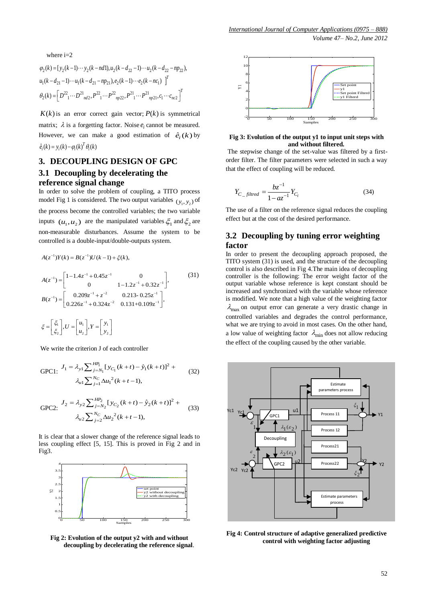*Volume 47– No.2, June 2012* 

where 
$$
i=2
$$

where i=2  
\n
$$
\varphi_2(k) = [y_2(k-1)\cdots y_2(k-nd)], u_2(k-d_{22}-1)\cdots u_2(k-d_{22}-np_{22}),
$$
\n
$$
u_1(k-d_{21}-1)\cdots u_1(k-d_{21}-np_{21}), e_2(k-1)\cdots e_2(k-nc_1)\Big]^T
$$
\n
$$
\theta_2(k) = \Big[D^{22} \cdot \cdots D^{21} \cdot \cdots D^{21} \cdot \cdots P^{22} \cdot \cdots P^{21} \cdot \cdots P^{21} \cdot \cdots P^{21} \cdot \cdots P^{21} \cdot \cdots P^{21} \cdot \cdots P^{21} \cdot \cdots P^{21} \cdot \cdots P^{21} \cdot \cdots P^{21} \cdot \cdots P^{21} \cdot \cdots P^{21} \cdot \cdots P^{21} \cdot \cdots P^{21} \cdot \cdots P^{21} \cdot \cdots P^{21} \cdot \cdots P^{21} \cdot \cdots P^{21} \cdot \cdots P^{21} \cdot \cdots P^{21} \cdot \cdots P^{21} \cdot \cdots P^{21} \cdot \cdots P^{21} \cdot \cdots P^{21} \cdot \cdots P^{21} \cdot \cdots P^{21} \cdot \cdots P^{21} \cdot \cdots P^{21} \cdot \cdots P^{21} \cdot \cdots P^{21} \cdot \cdots P^{21} \cdot \cdots P^{21} \cdot \cdots P^{21} \cdot \cdots \cdot P^{21} \cdot \cdots P^{21} \cdot \cdots \cdot P^{21} \cdot \cdots \cdot P^{21} \cdot \cdots \cdot P^{21} \cdot \cdots \cdot P^{21} \cdot \cdots \cdot P^{21} \cdot \cdots P^{21} \cdot \cdots P^{21} \cdot \cdots P^{21} \cdot \cdots P^{21} \cdot \cdots P^{21} \cdot \cdots P^{21} \cdot \cdots P^{21} \cdot \cdots P^{21} \cdot \cdots P^{21} \cdot \cdots P^{21} \cdot \cdots P^{21} \cdot \cdots P^{21} \cdot \cdots P^{21} \cdot \cdots P^{21} \cdot \cdots P^{21} \cdot \cdots P^{21} \cdot \cdots P^{21} \cdot \cdots P^{21} \cdot \cdots P^{
$$

 $K(k)$  is an error correct gain vector;  $P(k)$  is symmetrical matrix;  $\lambda$  is a forgetting factor. Noise  $e_i$  cannot be measured. However, we can make a good estimation of  $\hat{e}_i(k)$  by  $\hat{e}_i(k) = y_i(k) - \varphi_i(k)^T \theta_i(k)$ 

# **3. DECOUPLING DESIGN OF GPC 3.1 Decoupling by decelerating the reference signal change**

In order to solve the problem of coupling, a TITO process model Fig 1 is considered. The two output variables  $(y_1, y_2)$  of the process become the controlled variables; the two variable inputs  $(u_1, u_2)$  are the manipulated variables  $\xi_1$  and  $\xi_2$  are non-measurable disturbances. Assume the system to be controlled is a double-input/double-outputs system.<br>  $A(z^{-1})Y(k) = B(z^{-1})U(k-1) + \xi(k),$ 

$$
A(z^{-1})Y(k) = B(z^{-1})U(k-1) + \xi(k),
$$

$$
A(z^{-1}) = \begin{bmatrix} 1 - 1.4z^{-1} + 0.45z^{-1} & 0 \\ 0 & 1 - 1.2z^{-1} + 0.32z^{-1} \end{bmatrix},
$$
  
\n
$$
B(z^{-1}) = \begin{bmatrix} 0.209z^{-1} + z^{-2} & 0.213 - 0.25z^{-1} \\ 0.226z^{-1} + 0.324z^{-2} & 0.131 + 0.109z^{-1} \end{bmatrix},
$$
  
\n
$$
\xi = \begin{bmatrix} \xi_1 \\ \xi_2 \end{bmatrix}, U = \begin{bmatrix} u_1 \\ u_2 \end{bmatrix}, Y = \begin{bmatrix} y_1 \\ y_2 \end{bmatrix}
$$
 (31)

We write the criterion J of each controller

GPC1: 
$$
J_1 = \lambda_{y1} \sum_{j=N_1}^{HR} [y_{C_1}(k+t) - \hat{y}_1(k+t)]^2 + \lambda_{u1} \sum_{j=1}^{N_C} \Delta u_1^2(k+t-1),
$$
 (32)

GPC2: 
$$
J_2 = \lambda_{y2} \sum_{j=N_2}^{HP_2} [y_{C_2}(k+t) - \hat{y}_2(k+t)]^2 + \lambda_{u2} \sum_{j=2}^{N_C} \Delta u_2^2(k+t-1),
$$
 (33)

It is clear that a slower change of the reference signal leads to less coupling effect [5, 15]. This is proved in Fig 2 and in Fig3.



**Fig 2: Evolution of the output y2 with and without decoupling by decelerating the reference signal**.



#### **Fig 3: Evolution of the output y1 to input unit steps with and without filtered.**

The stepwise change of the set-value was filtered by a firstorder filter. The filter parameters were selected in such a way that the effect of coupling will be reduced.

$$
Y_{C_{-} \text{filtered}} = \frac{bz^{-1}}{1 - az^{-1}} Y_{C_{i}}
$$
 (34)

The use of a filter on the reference signal reduces the coupling effect but at the cost of the desired performance.

# **3.2 Decoupling by tuning error weighting factor**

In order to present the decoupling approach proposed, the TITO system (31) is used, and the structure of the decoupling control is also described in Fig 4.The main idea of decoupling controller is the following: The error weight factor of the output variable whose reference is kept constant should be increased and synchronized with the variable whose reference is modified. We note that a high value of the weighting factor  $\lambda_{\text{max}}$  on output error can generate a very drastic change in controlled variables and degrades the control performance, what we are trying to avoid in most cases. On the other hand, a low value of weighting factor  $\lambda_{\min}$  does not allow reducing the effect of the coupling caused by the other variable.



**Fig 4: Control structure of adaptive generalized predictive control with weighting factor adjusting**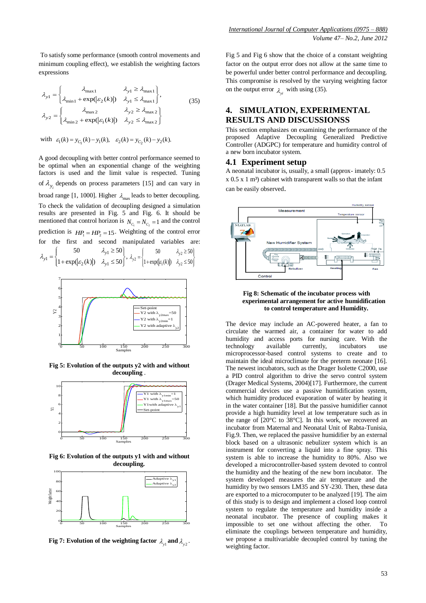To satisfy some performance (smooth control movements and minimum coupling effect), we establish the weighting factors expressions

$$
\lambda_{y1} = \begin{cases}\n\lambda_{\text{max1}} & \lambda_{y1} \ge \lambda_{\text{max1}} \\
\lambda_{\text{min1}} + \exp(|\varepsilon_2(k)|) & \lambda_{y1} \le \lambda_{\text{max1}}\n\end{cases},
$$
\n
$$
\lambda_{y2} = \begin{cases}\n\lambda_{\text{max2}} & \lambda_{y2} \ge \lambda_{\text{max2}} \\
\lambda_{\text{min2}} + \exp(|\varepsilon_1(k)|) & \lambda_{y2} \le \lambda_{\text{max2}}\n\end{cases}
$$
\n(35)

with  $\varepsilon_1(k) = y_{C_1}(k) - y_1(k), \quad \varepsilon_2(k) = y_{C_2}(k) - y_2(k)$ .

A good decoupling with better control performance seemed to be optimal when an exponential change of the weighting factors is used and the limit value is respected. Tuning of  $\lambda_{y_i}$  depends on process parameters [15] and can vary in broad range [1, 1000]. Higher  $\lambda_{\text{max}}$  leads to better decoupling. To check the validation of decoupling designed a simulation results are presented in Fig. 5 and Fig. 6. It should be mentioned that control horizon is  $N_{C_1} = N_{C_2} = 1$  and the control prediction is  $HP_1 = HP_2 = 15$ . Weighting of the control error for the first and second manipulated variables are: 1  $1 - 1 + \exp(|\varepsilon_2(k)|) \lambda_{y1}$  $50$   $\lambda_{y1} \ge 50$ <br>1+  $\exp(|\varepsilon_2(k)|)$   $\lambda_{y1} \le 50$  $y_1$ <sup>-</sup>  $\left| 1 + \exp(\varepsilon_2(k)) \right|$   $\lambda_y$  $\lambda$ .  $\lambda_{y1} = \begin{cases} 1 + \exp(|\varepsilon_2(k)|) & \lambda_{y1} \leq \end{cases}$  $\begin{cases}\n50 & \lambda_{y1} \ge 50\n\end{cases}$ =  $\begin{cases} 50 & \lambda_{y1} \ge 50 \\ 1 + \exp(|\varepsilon_2(k)|) & \lambda_{y1} \le 50 \end{cases}$ ,  $\lambda_{y2} = \begin{cases} 50 & \lambda_{y2} \\ 1 + \exp(|\varepsilon_1(k)|) & \lambda_{y2} \end{cases}$  $2^{-}$  | 1+ exp(| $\varepsilon_1(k)$ |)  $\lambda_{y2}$ 50  $\lambda_{v2} \ge 50$  $\lambda_{y2} \le 50$ <br>1+exp( $|\varepsilon_1(k)|$ )  $\lambda_{y2} \le 50$  $y^{2}$  | 1+ exp( $\varepsilon_1(k)$ )  $\lambda_y$ λ.  $\lambda_{y2} = \begin{cases} 1 + \exp(|\varepsilon_1(k)|) & \lambda_{y2} \end{cases}$  $\int$  50  $\lambda_{y2} \ge 50$ =  $\begin{cases} \n2\sqrt{3} & \text{if } k \leq 1 \\ \n1 + \exp(|\varepsilon_1(k)|) & \lambda_{y2} \leq 50 \n\end{cases}$ 



**Fig 5: Evolution of the outputs y2 with and without decoupling** .



**Fig 6: Evolution of the outputs y1 with and without decoupling.**



**Fig 7: Evolution of the weighting factor**  $\lambda_{y1}$  **and**  $\lambda_{y2}$ **.** 

Fig 5 and Fig 6 show that the choice of a constant weighting factor on the output error does not allow at the same time to be powerful under better control performance and decoupling. This compromise is resolved by the varying weighting factor on the output error  $\lambda_{yi}$  with using (35).

# **4. SIMULATION, EXPERIMENTAL RESULTS AND DISCUSSIONSS**

This section emphasizes on examining the performance of the proposed Adaptive Decoupling Generalized Predictive Controller (ADGPC) for temperature and humidity control of a new born incubator system.

### **4.1 Experiment setup**

A neonatal incubator is, usually, a small (approx- imately: 0.5  $x$  0.5  $x$  1 m<sup>3</sup>) cabinet with transparent walls so that the infant can be easily observed.



#### **Fig 8: Schematic of the incubator process with experimental arrangement for active humidification to control temperature and Humidity.**

The device may include an AC-powered heater, a fan to circulate the warmed air, a container for water to add humidity and access ports for nursing care. With the technology available currently, incubators use technology available currently, incubators use microprocessor-based control systems to create and to maintain the ideal microclimate for the preterm neonate [16]. The newest incubators, such as the Drager Isolette C2000, use a PID control algorithm to drive the servo control system (Drager Medical Systems, 2004)[17]. Furthermore, the current commercial devices use a passive humidification system, which humidity produced evaporation of water by heating it in the water container [18]. But the passive humidifier cannot provide a high humidity level at low temperature such as in the range of [20°C to 38°C]. In this work, we recovered an incubator from Maternal and Neonatal Unit of Rabta-Tunisia, Fig.9. Then, we replaced the passive humidifier by an external block based on a ultrasonic nebulizer system which is an instrument for converting a liquid into a fine spray. This system is able to increase the humidity to 80%. Also we developed a microcontroller-based system devoted to control the humidity and the heating of the new born incubator. The system developed measures the air temperature and the humidity by two sensors LM35 and SY-230. Then, these data are exported to a microcomputer to be analyzed [19]. The aim of this study is to design and implement a closed loop control system to regulate the temperature and humidity inside a neonatal incubator. The presence of coupling makes it impossible to set one without affecting the other. To eliminate the couplings between temperature and humidity, we propose a multivariable decoupled control by tuning the weighting factor.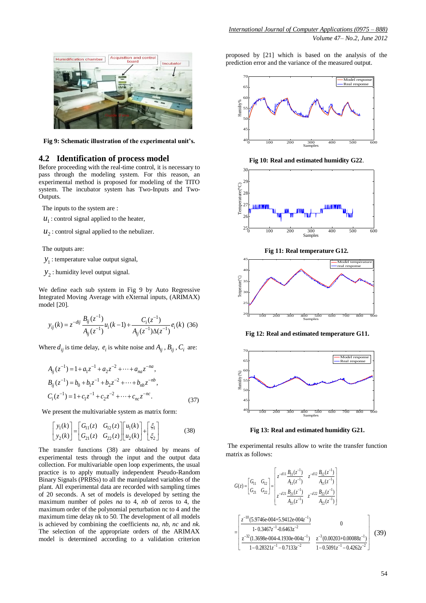

**Fig 9: Schematic illustration of the experimental unit's.**

### **4.2 Identification of process model**

Before proceeding with the real-time control, it is necessary to pass through the modeling system. For this reason, an experimental method is proposed for modeling of the TITO system. The incubator system has Two-Inputs and Two-Outputs.

The inputs to the system are :

- $u_1$ : control signal applied to the heater,
- $u_2$ : control signal applied to the nebulizer.

The outputs are:

- 1 *y* : temperature value output signal,
- $y_2$ : humidity level output signal.

We define each sub system in Fig 9 by Auto Regressive Integrated Moving Average with eXternal inputs, (ARIMAX) model [20].

$$
y_{ij}(k) = z^{-dij} \frac{B_{ij}(z^{-1})}{A_{ij}(z^{-1})} u_i(k-1) + \frac{C_i(z^{-1})}{A_{ij}(z^{-1})\Delta(z^{-1})} e_i(k)
$$
 (36)

Where  $d_{ij}$  is time delay,  $e_i$  is white noise and  $A_{ij}$ ,  $B_{ij}$ ,  $C_i$  are:

$$
A_{ij}(z^{-1}) = 1 + a_1 z^{-1} + a_2 z^{-2} + \dots + a_{na} z^{-na},
$$
  
\n
$$
B_{ij}(z^{-1}) = b_0 + b_1 z^{-1} + b_2 z^{-2} + \dots + b_{nb} z^{-nb},
$$
  
\n
$$
C_i(z^{-1}) = 1 + c_1 z^{-1} + c_2 z^{-2} + \dots + c_{nc} z^{-nc}.
$$
\n(37)

We present the multivariable system as matrix form:

$$
\begin{bmatrix} y_1(k) \\ y_2(k) \end{bmatrix} = \begin{bmatrix} G_{11}(z) & G_{12}(z) \\ G_{21}(z) & G_{22}(z) \end{bmatrix} \begin{bmatrix} u_1(k) \\ u_2(k) \end{bmatrix} + \begin{bmatrix} \xi_1 \\ \xi_2 \end{bmatrix} \tag{38}
$$

The transfer functions (38) are obtained by means of experimental tests through the input and the output data collection. For multivariable open loop experiments, the usual practice is to apply mutually independent Pseudo-Random Binary Signals (PRBSs) to all the manipulated variables of the plant. All experimental data are recorded with sampling times of 20 seconds. A set of models is developed by setting the maximum number of poles *na* to 4, *nb* of zeros to 4, the maximum order of the polynomial perturbation nc to 4 and the maximum time delay nk to 50. The development of all models is achieved by combining the coefficients *na, nb, nc* and *nk.* The selection of the appropriate orders of the ARIMAX model is determined according to a validation criterion

proposed by [21] which is based on the analysis of the prediction error and the variance of the measured output.



**Fig 10: Real and estimated humidity G22**.



**Fig 11: Real temperature G12.**



**Fig 12: Real and estimated temperature G11.**



**Fig 13: Real and estimated humidity G21.**

The experimental results allow to write the transfer function matrix as follows:

$$
G(z) = \begin{bmatrix} G_{11} & G_{12} \ G_{21} & G_{22} \end{bmatrix} = \begin{bmatrix} z^{-d11} \frac{B_{11}(z^{-1})}{A_{11}(z^{-1})} & z^{-d12} \frac{B_{12}(z^{-1})}{A_{11}(z^{-1})} \\ z^{-d21} \frac{B_{21}(z^{-1})}{A_{21}(z^{-1})} & z^{-d22} \frac{B_{22}(z^{-1})}{A_{22}(z^{-1})} \end{bmatrix}
$$

$$
= \begin{bmatrix} \frac{z^{-10}(5.9746e-004+5.9412e-004z^{-1})}{1-0.3467z^{-1}-0.6463z^{-2}} & 0 \\ \frac{z^{-32}(1.3698e-004-4.1930e-004z^{-1})}{1-0.28321z^{-1}-0.7133z^{-2}} & \frac{z^{-3}(0.00203+0.00088z^{-1})}{1-0.5091z^{-1}-0.4262z^{-2}} \end{bmatrix} (39)
$$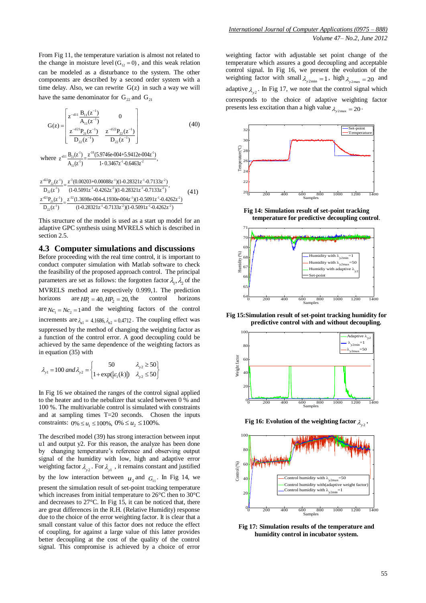From Fig 11, the temperature variation is almost not related to the change in moisture level  $(G_{12} = 0)$ , and this weak relation can be modeled as a disturbance to the system. The other components are described by a second order system with a time delay. Also, we can rewrite  $G(z)$  in such a way we will have the same denominator for  $G_{22}$  and  $G_{21}$ 

$$
G(z) = \begin{bmatrix} z^{-d11} \frac{B_{11}(z^{-1})}{A_{11}(z^{-1})} & 0 \\ \frac{z^{-d21}P_{21}(z^{-1})}{D_{22}(z^{-1})} & \frac{z^{-d22}P_{22}(z^{-1})}{D_{22}(z^{-1})} \end{bmatrix}
$$
(40)  
where  $z^{-d11} \frac{B_{11}(z^{-1})}{A_{11}(z^{-1})} = \frac{z^{-10}(5.9746e-004+5.9412e-004z^{-1})}{1-0.3467z^{-1}-0.6463z^{-2}}$ ,

$$
\frac{z^{d22}P_{22}(z^{1})}{D_{22}(z^{1})} = \frac{z^{3}(0.00203+0.00088z^{1})(1-0.28321z^{1}-0.7133z^{2})}{(1-0.5091z^{1}-0.4262z^{2})(1-0.28321z^{1}-0.7133z^{2})},
$$
\n(41)\n
$$
\frac{z^{d21}P_{21}(z^{1})}{D_{22}(z^{1})} = \frac{z^{32}(1.3698e-0044.1930e-004z^{1})(1-0.5091z^{1}-0.4262z^{2})}{(1-0.28321z^{1}-0.7133z^{2})(1-0.5091z^{1}-0.4262z^{2})}
$$

This structure of the model is used as a start up model for an adaptive GPC synthesis using MVRELS which is described in section 2.5.

#### **4.3 Computer simulations and discussions**

Before proceeding with the real time control, it is important to conduct computer simulation with Matlab software to check the feasibility of the proposed approach control. The principal parameters are set as follows: the forgotten factor  $\lambda_1, \lambda_2$  of the MVRELS method are respectively 0.999,1. The prediction horizons are  $HP_1 = 40, HP_2 = 20$ , the control horizons are  $Nc_1 = Nc_2 = 1$  and the weighting factors of the control increments are  $\lambda_{ul} = 4.1686$ ,  $\lambda_{ul} = 0.4712$ . The coupling effect was suppressed by the method of changing the weighting factor as a function of the control error. A good decoupling could be achieved by the same dependence of the weighting factors as in equation (35) with 50  $\lambda_{y2} \ge 50$ h $\begin{cases} 50 & \lambda_{y2} \ge 50 \end{cases}$ 

$$
\lambda_{y1} = 100 \text{ and } \lambda_{y2} = \begin{cases} 50 & \lambda_{y2} \ge 50 \\ 1 + \exp(|\varepsilon_1(k)|) & \lambda_{y2} \le 50 \end{cases}
$$

In Fig 16 we obtained the ranges of the control signal applied to the heater and to the nebulizer that scaled between 0 % and 100 %. The multivariable control is simulated with constraints and at sampling times T=20 seconds. Chosen the inputs constraints:  $0\% \le u_1 \le 100\%$ ,  $0\% \le u_2 \le 100\%$ .

The described model (39) has strong interaction between input u1 and output y2. For this reason, the analyze has been done by changing temperature's reference and observing output signal of the humidity with low, high and adaptive error weighting factor  $\lambda_{y2}$ . For  $\lambda_{y1}$ , it remains constant and justified by the low interaction between  $u_2$  and  $G_{11}$ . In Fig 14, we present the simulation result of set-point tracking temperature which increases from initial temperature to 26°C then to 30°C and decreases to 27°C. In Fig 15, it can be noticed that, there are great differences in the R.H. (Relative Humidity) response due to the choice of the error weighting factor. It is clear that a small constant value of this factor does not reduce the effect of coupling, for against a large value of this latter provides better decoupling at the cost of the quality of the control signal. This compromise is achieved by a choice of error

weighting factor with adjustable set point change of the temperature which assures a good decoupling and acceptable control signal. In Fig 16, we present the evolution of the weighting factor with small  $\lambda_{y2min} = 1$ , high  $\lambda_{y2max} = 20$  and adaptive  $\lambda_{y2}$ . In Fig 17, we note that the control signal which corresponds to the choice of adaptive weighting factor presents less excitation than a high value  $\lambda_{y2\text{max}} = 20$ .



**Fig 14: Simulation result of set-point tracking temperature for predictive decoupling control**.



**Fig 15:Simulation result of set-point tracking humidity for predictive control with and without decoupling.**



Fig 16: Evolution of the weighting factor  $\lambda_{\text{y2}}$ .



**Fig 17: Simulation results of the temperature and humidity control in incubator system.**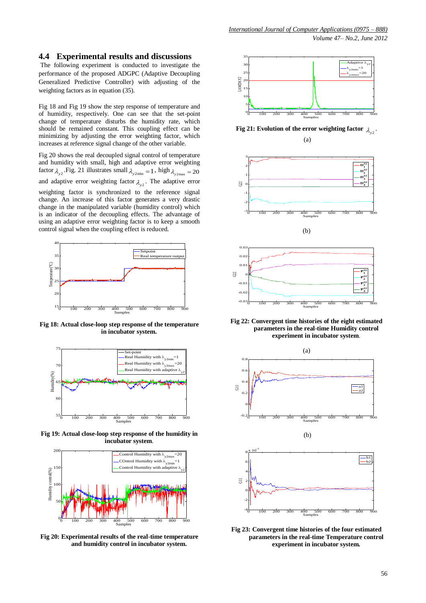### **4.4 Experimental results and discussions**

The following experiment is conducted to investigate the performance of the proposed ADGPC (Adaptive Decoupling Generalized Predictive Controller) with adjusting of the weighting factors as in equation (35).

Fig 18 and Fig 19 show the step response of temperature and of humidity, respectively. One can see that the set-point change of temperature disturbs the humidity rate, which should be remained constant. This coupling effect can be minimizing by adjusting the error weighting factor, which increases at reference signal change of the other variable.

Fig 20 shows the real decoupled signal control of temperature and humidity with small, high and adaptive error weighting factor  $\lambda_{y2}$ . Fig. 21 illustrates small  $\lambda_{y2min} = 1$ , high  $\lambda_{y2max} = 20$ and adaptive error weighting factor  $\lambda_{y2}$ . The adaptive error weighting factor is synchronized to the reference signal change. An increase of this factor generates a very drastic change in the manipulated variable (humidity control) which is an indicator of the decoupling effects. The advantage of using an adaptive error weighting factor is to keep a smooth control signal when the coupling effect is reduced.



**Fig 18: Actual close-loop step response of the temperature in incubator system.**



**Fig 19: Actual close-loop step response of the humidity in incubator system**.



**Fig 20: Experimental results of the real**-**time temperature and humidity control in incubator system.**



**Fig** 21: Evolution of the error weighting factor  $\lambda_{y2}$ . (a)





**Fig 22: Convergent time histories of the eight estimated parameters in the real-time Humidity control experiment in incubator system**.



**Fig 23: Convergent time histories of the four estimated parameters in the real-time Temperature control experiment in incubator system.**